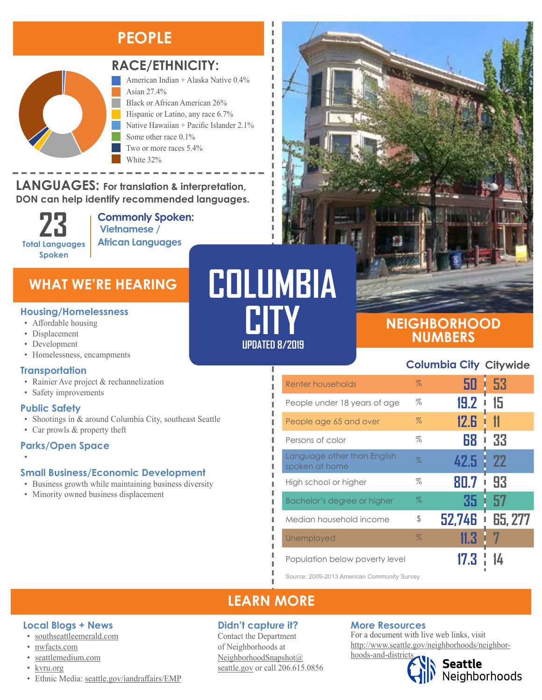### **PEOPLE**



### **RACE/ETHNICITY:**

American Indian + Alaska Native 0.4% Asian 27.4% Black or African American 26% Hispanic or Latino, any race 6.7% Native Hawaiian + Pacific Islander 2.1% Some other race 0.1% Two or more races 5.4% White 32%

### **LANGUAGES: For translation & interpretation, DON can help identify recommended languages.**

**23 Total Languages Spoken**

**Commonly Spoken: Vietnamese / African Languages**

### **WHAT WE'RE HEARING**

#### **Housing/Homelessness**

- Affordable housing
- Displacement
- Development
- Homelessness, encampments

### **Transportation**

- Rainier Ave project & rechannelization
- Safety improvements

#### **Public Safety**

•

- Shootings in & around Columbia City, southeast Seattle
- Car prowls & property theft

### **Parks/Open Space**

### **Small Business/Economic Development**

- Business growth while maintaining business diversity
- Minority owned business displacement

# **COLUMBIA CITY**

I I I л

### **UPDATED 8/2019**

### **NEIGHBORHOOD NUMBERS**

### **Columbia City Citywide**

| Renter households                             | $\%$ | 50     | -53       |
|-----------------------------------------------|------|--------|-----------|
| People under 18 years of age                  | $\%$ | 19.2   | 15        |
| People age 65 and over                        | $\%$ | 12.6   |           |
| Persons of color                              | $\%$ | 68     | 33        |
| Language other than English<br>spoken at home | Z    | 42.5   | <b>22</b> |
| High school or higher                         | $\%$ | 80.7   | 93        |
| Bachelor's degree or higher                   | $\%$ | 35     | 57        |
| Median household income                       | \$   | 52,746 | 65, 277   |
| Unemployed                                    | $\%$ | 11.3   |           |
| Population below poverty level                |      |        |           |

Source: 2009-2013 American Community Survey

### **LEARN MORE**

### **Didn't capture it?**

Contact the Department of Neighborhoods at [NeighborhoodSnapshot@](mailto:NeighborhoodSnapshot%40%0Aseattle.gov?subject=) [seattle.gov](mailto:NeighborhoodSnapshot%40%0Aseattle.gov?subject=) or call 206.615.0856

### **More Resources**

For a document with live web links, visit [http://www.seattle.gov/neighborhoods/neighbor](http://www.seattle.gov/neighborhoods/neighborhoods-and-districts)[hoods-and-districts](http://www.seattle.gov/neighborhoods/neighborhoods-and-districts)

**Seattle**<br>Neighborhoods

• [kvru.org](http://kvru.org/) • Ethnic Media: [seattle.gov/iandraffairs/EMP](http://www.seattle.gov/iandraffairs/EMP)

**Local Blogs + News** • [southseattleemerald.com](https://southseattleemerald.com/)

• [seattlemedium.com](http://seattlemedium.com/)

• [nwfacts.com](http://www.nwfacts.com/)